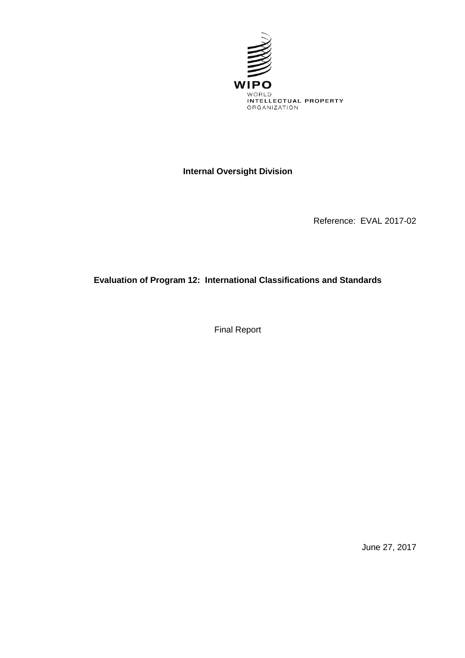

# **Internal Oversight Division**

Reference: EVAL 2017-02

# **Evaluation of Program 12: International Classifications and Standards**

Final Report

June 27, 2017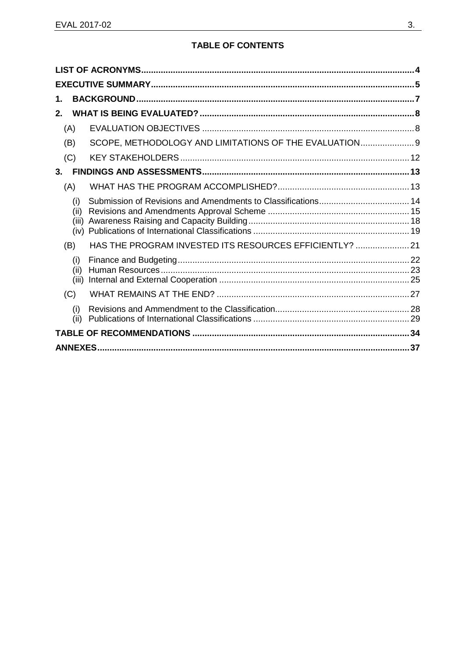### **TABLE OF CONTENTS**

| 1.                   |                                                         |  |
|----------------------|---------------------------------------------------------|--|
| $2-$                 |                                                         |  |
| (A)                  |                                                         |  |
| (B)                  | SCOPE, METHODOLOGY AND LIMITATIONS OF THE EVALUATION 9  |  |
| (C)                  |                                                         |  |
| $3_{-}$              |                                                         |  |
| (A)                  |                                                         |  |
| (i)<br>(ii)<br>(iii) |                                                         |  |
| (B)                  | HAS THE PROGRAM INVESTED ITS RESOURCES EFFICIENTLY?  21 |  |
| (i)<br>(ii)<br>(iii) |                                                         |  |
| (C)                  |                                                         |  |
| (i)<br>(ii)          |                                                         |  |
|                      |                                                         |  |
| .37                  |                                                         |  |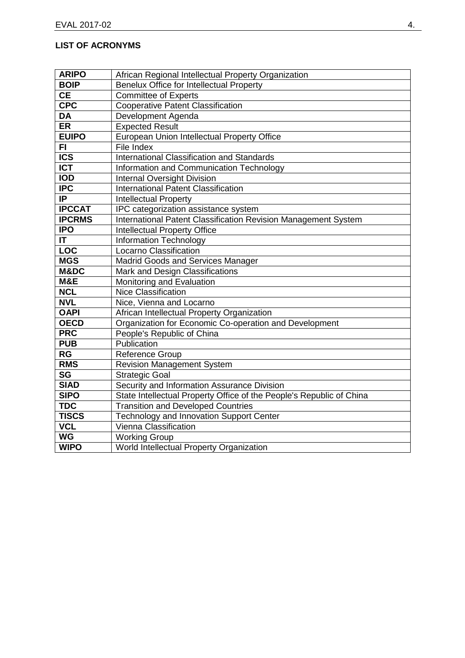### <span id="page-3-0"></span>**LIST OF ACRONYMS**

| <b>ARIPO</b>  | African Regional Intellectual Property Organization                  |
|---------------|----------------------------------------------------------------------|
| <b>BOIP</b>   | <b>Benelux Office for Intellectual Property</b>                      |
| <b>CE</b>     | <b>Committee of Experts</b>                                          |
| <b>CPC</b>    | <b>Cooperative Patent Classification</b>                             |
| <b>DA</b>     | Development Agenda                                                   |
| ER            | <b>Expected Result</b>                                               |
| <b>EUIPO</b>  | European Union Intellectual Property Office                          |
| FI.           | File Index                                                           |
| <b>ICS</b>    | <b>International Classification and Standards</b>                    |
| <b>ICT</b>    | Information and Communication Technology                             |
| <b>IOD</b>    | <b>Internal Oversight Division</b>                                   |
| <b>IPC</b>    | <b>International Patent Classification</b>                           |
| IP.           | <b>Intellectual Property</b>                                         |
| <b>IPCCAT</b> | IPC categorization assistance system                                 |
| <b>IPCRMS</b> | International Patent Classification Revision Management System       |
| <b>IPO</b>    | <b>Intellectual Property Office</b>                                  |
| IT            | <b>Information Technology</b>                                        |
| <b>LOC</b>    | Locarno Classification                                               |
| <b>MGS</b>    | <b>Madrid Goods and Services Manager</b>                             |
| M&DC          | Mark and Design Classifications                                      |
| M&E           | Monitoring and Evaluation                                            |
| <b>NCL</b>    | <b>Nice Classification</b>                                           |
| <b>NVL</b>    | Nice, Vienna and Locarno                                             |
| <b>OAPI</b>   | African Intellectual Property Organization                           |
| <b>OECD</b>   | Organization for Economic Co-operation and Development               |
| <b>PRC</b>    | People's Republic of China                                           |
| <b>PUB</b>    | Publication                                                          |
| <b>RG</b>     | <b>Reference Group</b>                                               |
| <b>RMS</b>    | <b>Revision Management System</b>                                    |
| <b>SG</b>     | <b>Strategic Goal</b>                                                |
| <b>SIAD</b>   | Security and Information Assurance Division                          |
| <b>SIPO</b>   | State Intellectual Property Office of the People's Republic of China |
| <b>TDC</b>    | <b>Transition and Developed Countries</b>                            |
| <b>TISCS</b>  | Technology and Innovation Support Center                             |
| <b>VCL</b>    | Vienna Classification                                                |
| <b>WG</b>     | <b>Working Group</b>                                                 |
| <b>WIPO</b>   | World Intellectual Property Organization                             |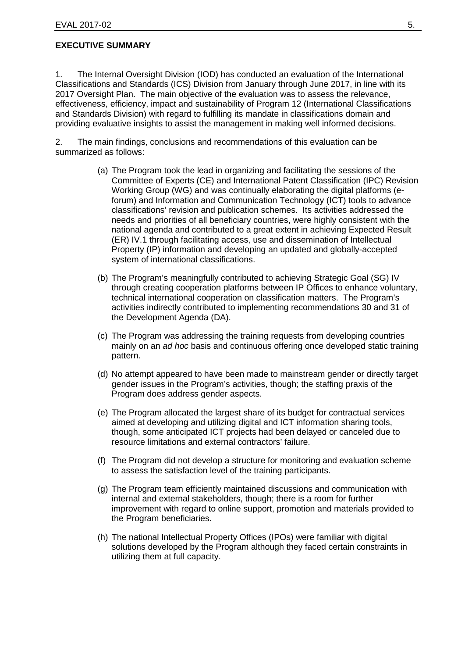#### <span id="page-4-0"></span>**EXECUTIVE SUMMARY**

1. The Internal Oversight Division (IOD) has conducted an evaluation of the International Classifications and Standards (ICS) Division from January through June 2017, in line with its 2017 Oversight Plan. The main objective of the evaluation was to assess the relevance, effectiveness, efficiency, impact and sustainability of Program 12 (International Classifications and Standards Division) with regard to fulfilling its mandate in classifications domain and providing evaluative insights to assist the management in making well informed decisions.

2. The main findings, conclusions and recommendations of this evaluation can be summarized as follows:

- (a) The Program took the lead in organizing and facilitating the sessions of the Committee of Experts (CE) and International Patent Classification (IPC) Revision Working Group (WG) and was continually elaborating the digital platforms (eforum) and Information and Communication Technology (ICT) tools to advance classifications' revision and publication schemes. Its activities addressed the needs and priorities of all beneficiary countries, were highly consistent with the national agenda and contributed to a great extent in achieving Expected Result (ER) IV.1 through facilitating access, use and dissemination of Intellectual Property (IP) information and developing an updated and globally-accepted system of international classifications.
- (b) The Program's meaningfully contributed to achieving Strategic Goal (SG) IV through creating cooperation platforms between IP Offices to enhance voluntary, technical international cooperation on classification matters. The Program's activities indirectly contributed to implementing recommendations 30 and 31 of the Development Agenda (DA).
- (c) The Program was addressing the training requests from developing countries mainly on an *ad hoc* basis and continuous offering once developed static training pattern.
- (d) No attempt appeared to have been made to mainstream gender or directly target gender issues in the Program's activities, though; the staffing praxis of the Program does address gender aspects.
- (e) The Program allocated the largest share of its budget for contractual services aimed at developing and utilizing digital and ICT information sharing tools, though, some anticipated ICT projects had been delayed or canceled due to resource limitations and external contractors' failure.
- (f) The Program did not develop a structure for monitoring and evaluation scheme to assess the satisfaction level of the training participants.
- (g) The Program team efficiently maintained discussions and communication with internal and external stakeholders, though; there is a room for further improvement with regard to online support, promotion and materials provided to the Program beneficiaries.
- (h) The national Intellectual Property Offices (IPOs) were familiar with digital solutions developed by the Program although they faced certain constraints in utilizing them at full capacity.